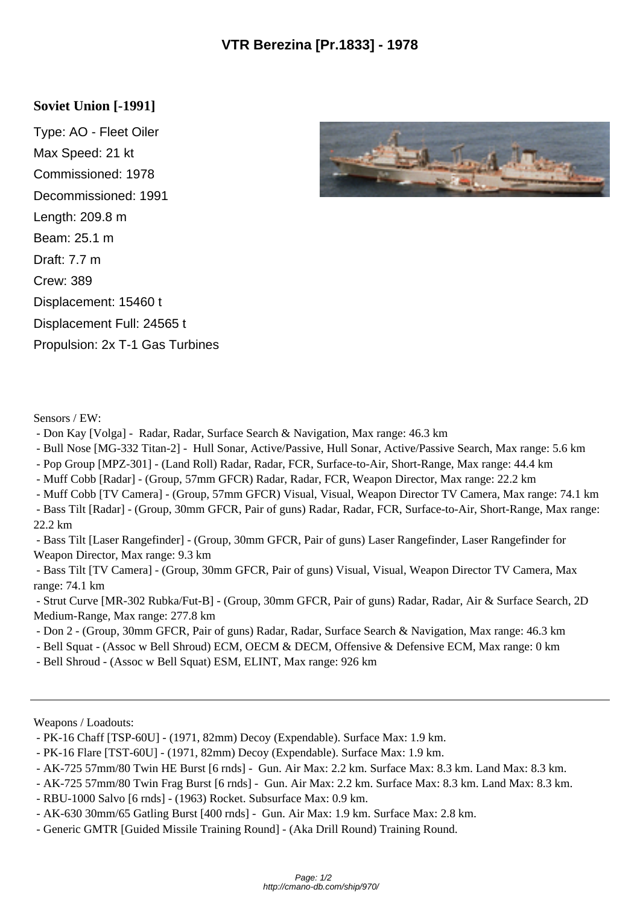## **Soviet Union [-1991]**

Type: AO - Fleet Oiler Max Speed: 21 kt Commissioned: 1978 Decommissioned: 1991 Length: 209.8 m Beam: 25.1 m Draft: 7.7 m Crew: 389 Displacement: 15460 t Displacement Full: 24565 t Propulsion: 2x T-1 Gas Turbines



Sensors / EW:

- Don Kay [Volga] Radar, Radar, Surface Search & Navigation, Max range: 46.3 km
- Bull Nose [MG-332 Titan-2] Hull Sonar, Active/Passive, Hull Sonar, Active/Passive Search, Max range: 5.6 km
- Pop Group [MPZ-301] (Land Roll) Radar, Radar, FCR, Surface-to-Air, Short-Range, Max range: 44.4 km
- Muff Cobb [Radar] (Group, 57mm GFCR) Radar, Radar, FCR, Weapon Director, Max range: 22.2 km
- Muff Cobb [TV Camera] (Group, 57mm GFCR) Visual, Visual, Weapon Director TV Camera, Max range: 74.1 km
- Bass Tilt [Radar] (Group, 30mm GFCR, Pair of guns) Radar, Radar, FCR, Surface-to-Air, Short-Range, Max range: 22.2 km
- Bass Tilt [Laser Rangefinder] (Group, 30mm GFCR, Pair of guns) Laser Rangefinder, Laser Rangefinder for Weapon Director, Max range: 9.3 km
- Bass Tilt [TV Camera] (Group, 30mm GFCR, Pair of guns) Visual, Visual, Weapon Director TV Camera, Max range: 74.1 km
- Strut Curve [MR-302 Rubka/Fut-B] (Group, 30mm GFCR, Pair of guns) Radar, Radar, Air & Surface Search, 2D Medium-Range, Max range: 277.8 km
- Don 2 (Group, 30mm GFCR, Pair of guns) Radar, Radar, Surface Search & Navigation, Max range: 46.3 km
- Bell Squat (Assoc w Bell Shroud) ECM, OECM & DECM, Offensive & Defensive ECM, Max range: 0 km
- Bell Shroud (Assoc w Bell Squat) ESM, ELINT, Max range: 926 km

Weapons / Loadouts:

- PK-16 Chaff [TSP-60U] (1971, 82mm) Decoy (Expendable). Surface Max: 1.9 km.
- PK-16 Flare [TST-60U] (1971, 82mm) Decoy (Expendable). Surface Max: 1.9 km.
- AK-725 57mm/80 Twin HE Burst [6 rnds] Gun. Air Max: 2.2 km. Surface Max: 8.3 km. Land Max: 8.3 km.
- AK-725 57mm/80 Twin Frag Burst [6 rnds] Gun. Air Max: 2.2 km. Surface Max: 8.3 km. Land Max: 8.3 km.
- RBU-1000 Salvo [6 rnds] (1963) Rocket. Subsurface Max: 0.9 km.
- AK-630 30mm/65 Gatling Burst [400 rnds] Gun. Air Max: 1.9 km. Surface Max: 2.8 km.
- Generic GMTR [Guided Missile Training Round] (Aka Drill Round) Training Round.